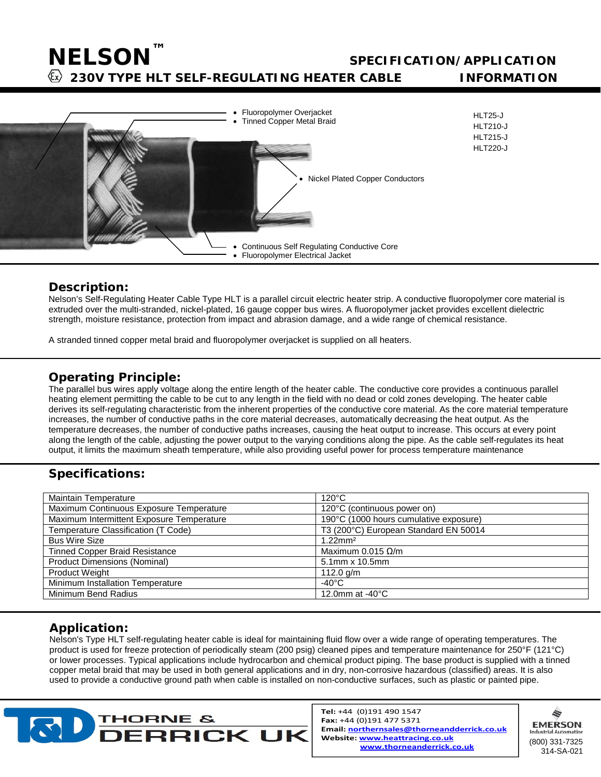### **SPECIFICATION/APPLICATION**

 **230V TYPE HLT SELF-REGULATING HEATER CABLE INFORMATION**

HLT25-J HLT210-J HLT215-J HLT220-J



#### **Description:**

**NELSON™**

Nelson's Self-Regulating Heater Cable Type HLT is a parallel circuit electric heater strip. A conductive fluoropolymer core material is extruded over the multi-stranded, nickel-plated, 16 gauge copper bus wires. A fluoropolymer jacket provides excellent dielectric strength, moisture resistance, protection from impact and abrasion damage, and a wide range of chemical resistance.

A stranded tinned copper metal braid and fluoropolymer overjacket is supplied on all heaters.

#### **Operating Principle:**

The parallel bus wires apply voltage along the entire length of the heater cable. The conductive core provides a continuous parallel heating element permitting the cable to be cut to any length in the field with no dead or cold zones developing. The heater cable derives its self-regulating characteristic from the inherent properties of the conductive core material. As the core material temperature increases, the number of conductive paths in the core material decreases, automatically decreasing the heat output. As the temperature decreases, the number of conductive paths increases, causing the heat output to increase. This occurs at every point along the length of the cable, adjusting the power output to the varying conditions along the pipe. As the cable self-regulates its heat output, it limits the maximum sheath temperature, while also providing useful power for process temperature maintenance

### **Specifications:**

| Maintain Temperature                      | $120^{\circ}$ C                        |
|-------------------------------------------|----------------------------------------|
| Maximum Continuous Exposure Temperature   | 120°C (continuous power on)            |
| Maximum Intermittent Exposure Temperature | 190°C (1000 hours cumulative exposure) |
| Temperature Classification (T Code)       | T3 (200°C) European Standard EN 50014  |
| <b>Bus Wire Size</b>                      | $1.22$ mm <sup>2</sup>                 |
| <b>Tinned Copper Braid Resistance</b>     | Maximum 0.015 $\Omega/m$               |
| <b>Product Dimensions (Nominal)</b>       | 5.1mm x 10.5mm                         |
| <b>Product Weight</b>                     | 112.0 g/m                              |
| Minimum Installation Temperature          | -40°C                                  |
| Minimum Bend Radius                       | 12.0mm at $-40^{\circ}$ C              |

### **Application:**

Nelson's Type HLT self-regulating heater cable is ideal for maintaining fluid flow over a wide range of operating temperatures. The product is used for freeze protection of periodically steam (200 psig) cleaned pipes and temperature maintenance for 250°F (121°C) or lower processes. Typical applications include hydrocarbon and chemical product piping. The base product is supplied with a tinned copper metal braid that may be used in both general applications and in dry, non-corrosive hazardous (classified) areas. It is also used to provide a conductive ground path when cable is installed on non-conductive surfaces, such as plastic or painted pipe.



Tel: +44 (0)191 490 1547 Fax: +44 (0)191 477 5371 Email: northernsales@thorneandderrick.co.uk Website: www.heattracing.co.uk www.thorneanderrick.co.uk

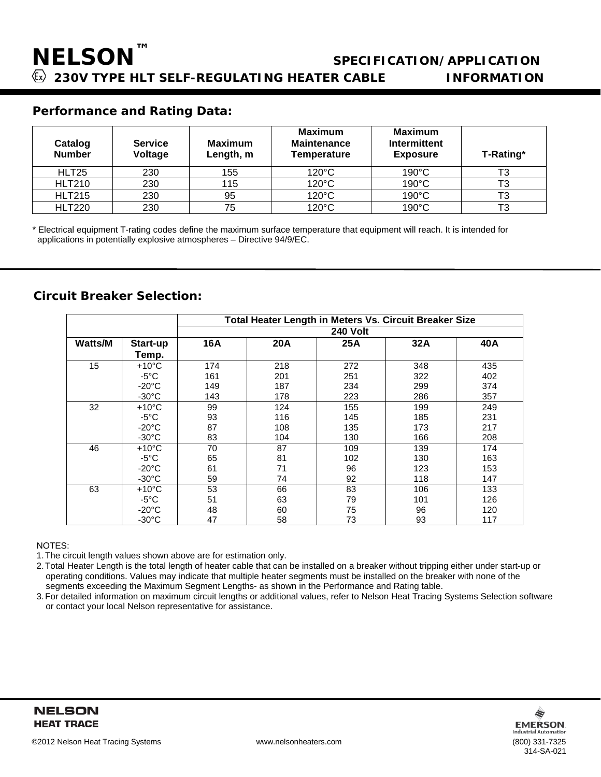#### **Performance and Rating Data:**

| Catalog<br><b>Number</b> | <b>Service</b><br>Voltage | <b>Maximum</b><br>Length, m | Maximum<br><b>Maintenance</b><br><b>Temperature</b> | <b>Maximum</b><br><b>Intermittent</b><br><b>Exposure</b> | T-Rating* |
|--------------------------|---------------------------|-----------------------------|-----------------------------------------------------|----------------------------------------------------------|-----------|
| HLT25                    | 230                       | 155                         | $120^{\circ}$ C                                     | $190^{\circ}$ C                                          | T3        |
| <b>HLT210</b>            | 230                       | 115                         | $120^{\circ}$ C                                     | 190°C                                                    | T3        |
| <b>HLT215</b>            | 230                       | 95                          | 120°C                                               | 190°C                                                    | T3        |
| <b>HLT220</b>            | 230                       | 75                          | $120^{\circ}$ C                                     | $190^{\circ}$ C                                          | ТЗ        |

\* Electrical equipment T-rating codes define the maximum surface temperature that equipment will reach. It is intended for applications in potentially explosive atmospheres – Directive 94/9/EC.

#### **Circuit Breaker Selection:**

|                |                 |                 |     |     | Total Heater Length in Meters Vs. Circuit Breaker Size |     |
|----------------|-----------------|-----------------|-----|-----|--------------------------------------------------------|-----|
|                |                 | <b>240 Volt</b> |     |     |                                                        |     |
| <b>Watts/M</b> | Start-up        | 16A             | 20A | 25A | 32A                                                    | 40A |
|                | Temp.           |                 |     |     |                                                        |     |
| 15             | $+10^{\circ}$ C | 174             | 218 | 272 | 348                                                    | 435 |
|                | $-5^{\circ}$ C  | 161             | 201 | 251 | 322                                                    | 402 |
|                | $-20^{\circ}$ C | 149             | 187 | 234 | 299                                                    | 374 |
|                | $-30^{\circ}$ C | 143             | 178 | 223 | 286                                                    | 357 |
| 32             | $+10^{\circ}$ C | 99              | 124 | 155 | 199                                                    | 249 |
|                | $-5^{\circ}$ C  | 93              | 116 | 145 | 185                                                    | 231 |
|                | $-20^{\circ}$ C | 87              | 108 | 135 | 173                                                    | 217 |
|                | $-30^{\circ}$ C | 83              | 104 | 130 | 166                                                    | 208 |
| 46             | $+10^{\circ}$ C | 70              | 87  | 109 | 139                                                    | 174 |
|                | $-5^{\circ}$ C  | 65              | 81  | 102 | 130                                                    | 163 |
|                | $-20^{\circ}$ C | 61              | 71  | 96  | 123                                                    | 153 |
|                | $-30^{\circ}$ C | 59              | 74  | 92  | 118                                                    | 147 |
| 63             | $+10^{\circ}$ C | 53              | 66  | 83  | 106                                                    | 133 |
|                | $-5^{\circ}$ C  | 51              | 63  | 79  | 101                                                    | 126 |
|                | $-20^{\circ}$ C | 48              | 60  | 75  | 96                                                     | 120 |
|                | $-30^{\circ}$ C | 47              | 58  | 73  | 93                                                     | 117 |

NOTES:

1.The circuit length values shown above are for estimation only.

2.Total Heater Length is the total length of heater cable that can be installed on a breaker without tripping either under start-up or operating conditions. Values may indicate that multiple heater segments must be installed on the breaker with none of the segments exceeding the Maximum Segment Lengths- as shown in the Performance and Rating table.

3.For detailed information on maximum circuit lengths or additional values, refer to Nelson Heat Tracing Systems Selection software or contact your local Nelson representative for assistance.